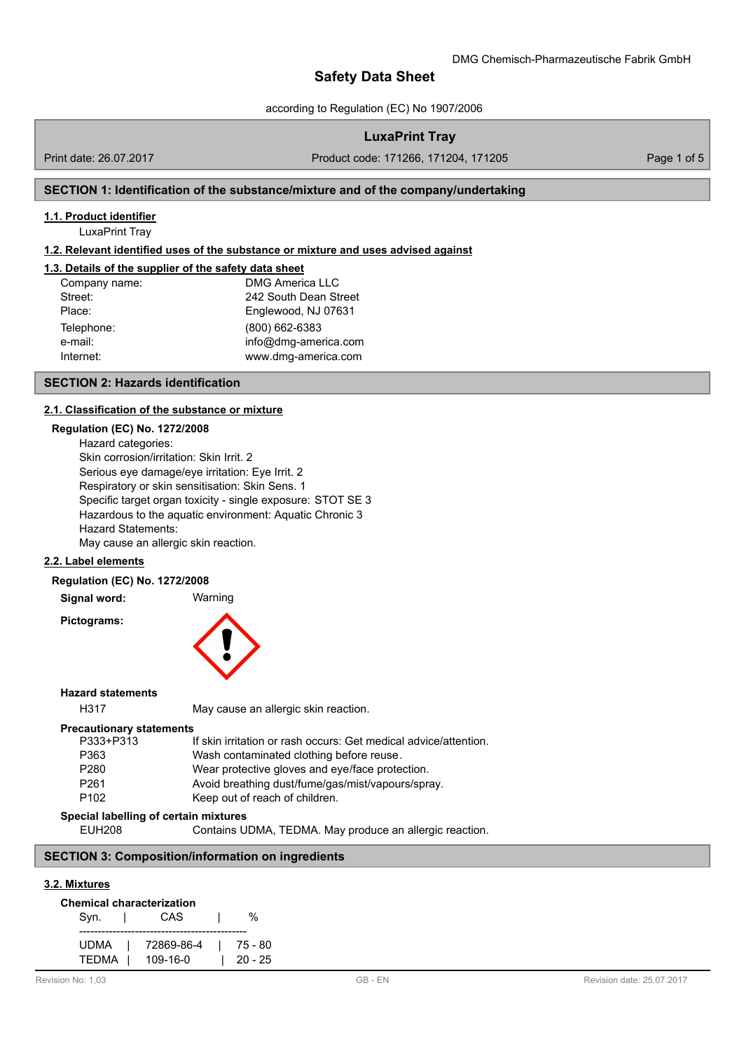according to Regulation (EC) No 1907/2006

## **LuxaPrint Tray**

Print date: 26.07.2017 Product code: 171266, 171204, 171205 Page 1 of 5

# **SECTION 1: Identification of the substance/mixture and of the company/undertaking**

## **1.1. Product identifier**

LuxaPrint Tray

## **1.2. Relevant identified uses of the substance or mixture and uses advised against**

## **1.3. Details of the supplier of the safety data sheet**

| Company name: | <b>DMG America LLC</b> |
|---------------|------------------------|
| Street:       | 242 South Dean Street  |
| Place:        | Englewood, NJ 07631    |
| Telephone:    | (800) 662-6383         |
| e-mail:       | info@dmg-america.com   |
| Internet:     | www.dmg-america.com    |

#### **SECTION 2: Hazards identification**

#### **2.1. Classification of the substance or [mixture](mailto:info@dmg-dental.com)**

# **Regulation (EC) No. 1272/2008**

Hazard categories: Skin corrosion/irritation: Skin Irrit. 2 Serious eye damage/eye irritation: Eye Irrit. 2 Respiratory or skin sensitisation: Skin Sens. 1 Specific target organ toxicity - single exposure: STOT SE 3 Hazardous to the aquatic environment: Aquatic Chronic 3 Hazard Statements: May cause an allergic skin reaction.

#### **2.2. Label elements**

#### **Regulation (EC) No. 1272/2008**

**Signal word:** Warning

**Pictograms:**



#### **Hazard statements**

H317 May cause an allergic skin reaction.

#### **Precautionary statements**

| P333+P313        | If skin irritation or rash occurs: Get medical advice/attention. |
|------------------|------------------------------------------------------------------|
| P363             | Wash contaminated clothing before reuse.                         |
| P <sub>280</sub> | Wear protective gloves and eye/face protection.                  |
| P <sub>261</sub> | Avoid breathing dust/fume/gas/mist/vapours/spray.                |
| P <sub>102</sub> | Keep out of reach of children.                                   |
|                  |                                                                  |

#### **Special labelling of certain mixtures**

EUH208 Contains UDMA, TEDMA. May produce an allergic reaction.

# **SECTION 3: Composition/information on ingredients**

### **3.2. Mixtures**

| <b>Chemical characterization</b> |            |  |         |  |  |
|----------------------------------|------------|--|---------|--|--|
| Syn.                             | CAS        |  | %       |  |  |
| <b>UDMA</b>                      | 72869-86-4 |  | 75 - 80 |  |  |
| TEDMA                            | 109-16-0   |  | 20 - 25 |  |  |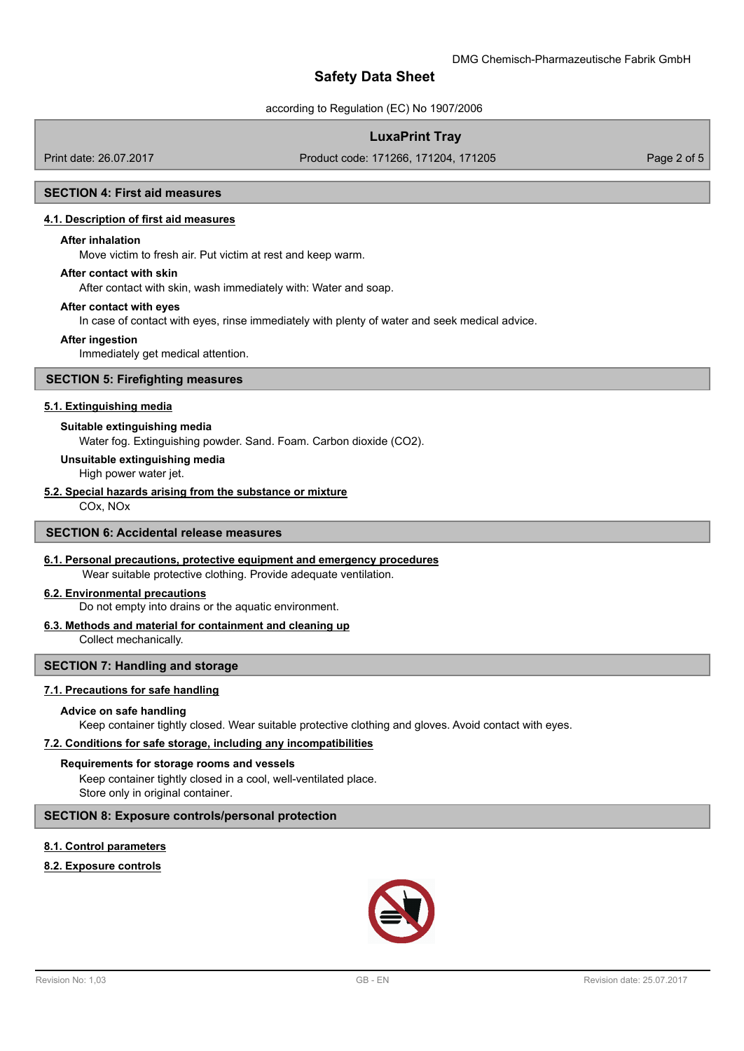according to Regulation (EC) No 1907/2006

# **LuxaPrint Tray**

Print date: 26.07.2017 Product code: 171266, 171204, 171205 Page 2 of 5

## **SECTION 4: First aid measures**

#### **4.1. Description of first aid measures**

#### **After inhalation**

Move victim to fresh air. Put victim at rest and keep warm.

#### **After contact with skin**

After contact with skin, wash immediately with: Water and soap.

#### **After contact with eyes**

In case of contact with eyes, rinse immediately with plenty of water and seek medical advice.

#### **After ingestion**

Immediately get medical attention.

#### **SECTION 5: Firefighting measures**

#### **5.1. Extinguishing media**

#### **Suitable extinguishing media**

Water fog. Extinguishing powder. Sand. Foam. Carbon dioxide (CO2).

#### **Unsuitable extinguishing media**

High power water jet.

## **5.2. Special hazards arising from the substance or mixture**

COx, NOx

### **SECTION 6: Accidental release measures**

#### **6.1. Personal precautions, protective equipment and emergency procedures**

Wear suitable protective clothing. Provide adequate ventilation.

### **6.2. Environmental precautions**

Do not empty into drains or the aquatic environment.

## **6.3. Methods and material for containment and cleaning up**

Collect mechanically.

### **SECTION 7: Handling and storage**

#### **7.1. Precautions for safe handling**

#### **Advice on safe handling**

Keep container tightly closed. Wear suitable protective clothing and gloves. Avoid contact with eyes.

## **7.2. Conditions for safe storage, including any incompatibilities**

## **Requirements for storage rooms and vessels**

Keep container tightly closed in a cool, well-ventilated place. Store only in original container.

# **SECTION 8: Exposure controls/personal protection**

# **8.1. Control parameters**

# **8.2. Exposure controls**

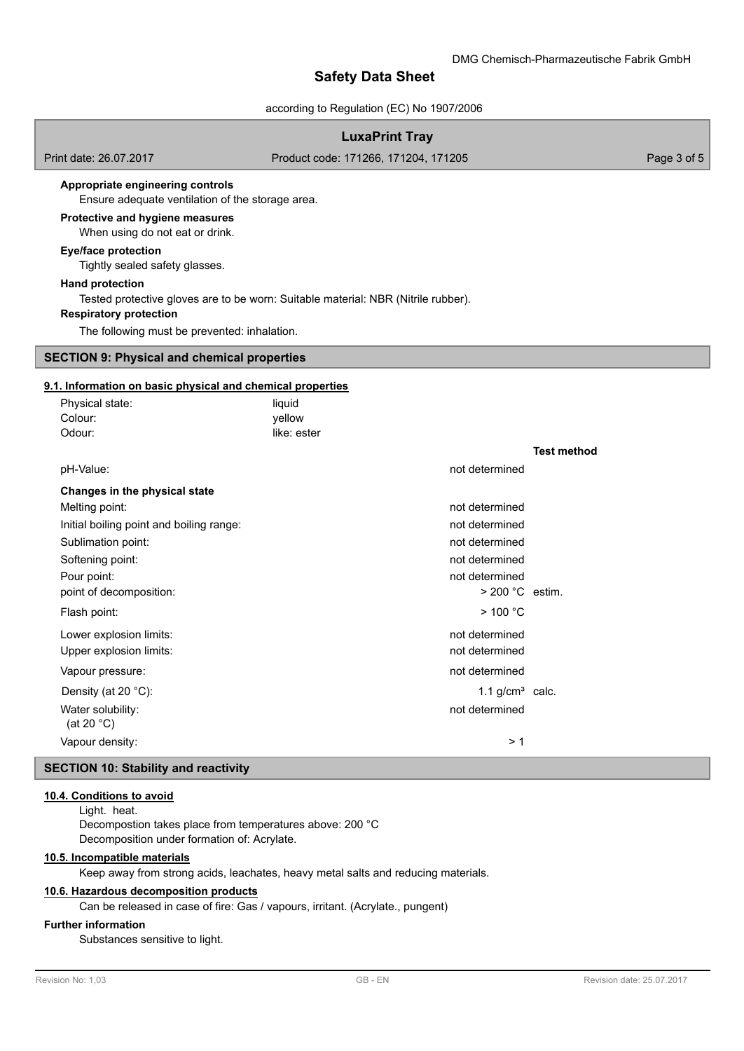## according to Regulation (EC) No 1907/2006

# **LuxaPrint Tray**

Print date: 26.07.2017 Product code: 171266, 171204, 171205 Page 3 of 5

### **Appropriate engineering controls**

Ensure adequate ventilation of the storage area.

### **Protective and hygiene measures**

When using do not eat or drink.

## **Eye/face protection**

Tightly sealed safety glasses.

#### **Hand protection**

Tested protective gloves are to be worn: Suitable material: NBR (Nitrile rubber).

## **Respiratory protection**

The following must be prevented: inhalation.

## **SECTION 9: Physical and chemical properties**

## **9.1. Information on basic physical and chemical properties**

| liquid |                       |                                        |
|--------|-----------------------|----------------------------------------|
|        |                       |                                        |
|        |                       |                                        |
|        |                       | <b>Test method</b>                     |
|        | not determined        |                                        |
|        |                       |                                        |
|        | not determined        |                                        |
|        | not determined        |                                        |
|        | not determined        |                                        |
|        | not determined        |                                        |
|        | not determined        |                                        |
|        |                       |                                        |
|        | $>$ 100 °C            |                                        |
|        | not determined        |                                        |
|        | not determined        |                                        |
|        | not determined        |                                        |
|        |                       |                                        |
|        | not determined        |                                        |
|        | >1                    |                                        |
|        | yellow<br>like: ester | $>$ 200 °C estim.<br>1.1 $g/cm3$ calc. |

# **SECTION 10: Stability and reactivity**

### **10.4. Conditions to avoid**

Light. heat.

Decompostion takes place from temperatures above: 200 °C Decomposition under formation of: Acrylate.

## **10.5. Incompatible materials**

Keep away from strong acids, leachates, heavy metal salts and reducing materials.

### **10.6. Hazardous decomposition products**

Can be released in case of fire: Gas / vapours, irritant. (Acrylate., pungent)

## **Further information**

Substances sensitive to light.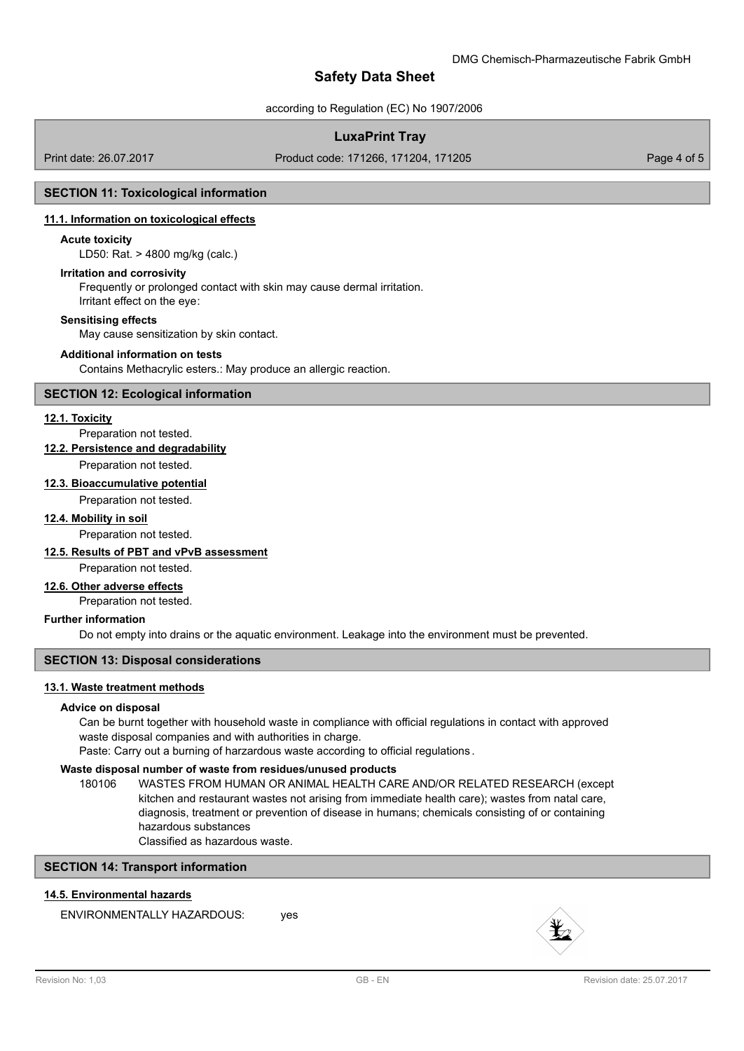according to Regulation (EC) No 1907/2006

# **LuxaPrint Tray**

Print date: 26.07.2017 Product code: 171266, 171204, 171205 Page 4 of 5

## **SECTION 11: Toxicological information**

## **11.1. Information on toxicological effects**

## **Acute toxicity**

LD50: Rat. > 4800 mg/kg (calc.)

#### **Irritation and corrosivity**

Frequently or prolonged contact with skin may cause dermal irritation. Irritant effect on the eye:

#### **Sensitising effects**

May cause sensitization by skin contact.

#### **Additional information on tests**

Contains Methacrylic esters.: May produce an allergic reaction.

### **SECTION 12: Ecological information**

### **12.1. Toxicity**

Preparation not tested.

## **12.2. Persistence and degradability**

Preparation not tested.

## **12.3. Bioaccumulative potential**

Preparation not tested.

#### **12.4. Mobility in soil**

Preparation not tested.

## **12.5. Results of PBT and vPvB assessment**

Preparation not tested.

# **12.6. Other adverse effects**

Preparation not tested.

### **Further information**

Do not empty into drains or the aquatic environment. Leakage into the environment must be prevented.

## **SECTION 13: Disposal considerations**

## **13.1. Waste treatment methods**

## **Advice on disposal**

Can be burnt together with household waste in compliance with official regulations in contact with approved waste disposal companies and with authorities in charge.

Paste: Carry out a burning of harzardous waste according to official regulations .

## **Waste disposal number of waste from residues/unused products**

180106 WASTES FROM HUMAN OR ANIMAL HEALTH CARE AND/OR RELATED RESEARCH (except kitchen and restaurant wastes not arising from immediate health care); wastes from natal care, diagnosis, treatment or prevention of disease in humans; chemicals consisting of or containing hazardous substances

Classified as hazardous waste.

## **SECTION 14: Transport information**

# **14.5. Environmental hazards**

ENVIRONMENTALLY HAZARDOUS: ves